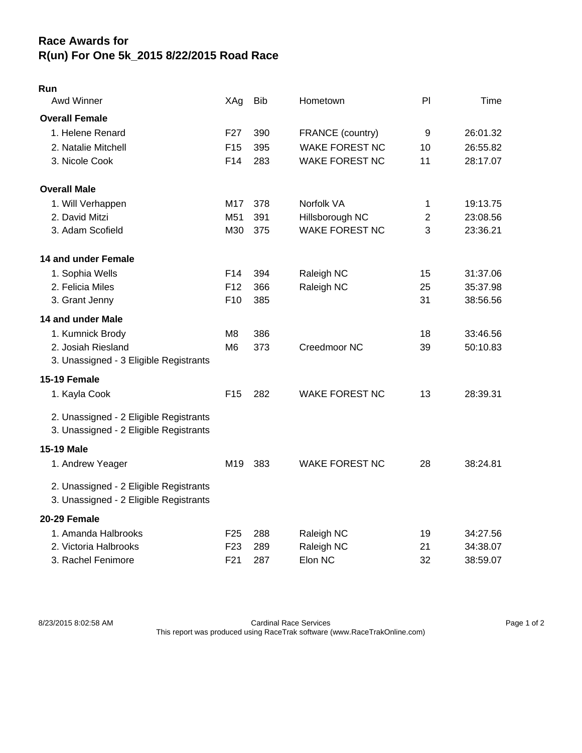## **Race Awards for R(un) For One 5k\_2015 8/22/2015 Road Race**

| Run                                    |                 |            |                       |                |          |
|----------------------------------------|-----------------|------------|-----------------------|----------------|----------|
| Awd Winner                             | XAg             | <b>Bib</b> | Hometown              | PI             | Time     |
| <b>Overall Female</b>                  |                 |            |                       |                |          |
| 1. Helene Renard                       | F <sub>27</sub> | 390        | FRANCE (country)      | 9              | 26:01.32 |
| 2. Natalie Mitchell                    | F <sub>15</sub> | 395        | <b>WAKE FOREST NC</b> | 10             | 26:55.82 |
| 3. Nicole Cook                         | F14             | 283        | <b>WAKE FOREST NC</b> | 11             | 28:17.07 |
| <b>Overall Male</b>                    |                 |            |                       |                |          |
| 1. Will Verhappen                      | M17             | 378        | Norfolk VA            | 1              | 19:13.75 |
| 2. David Mitzi                         | M51             | 391        | Hillsborough NC       | $\overline{2}$ | 23:08.56 |
| 3. Adam Scofield                       | M30             | 375        | <b>WAKE FOREST NC</b> | 3              | 23:36.21 |
| 14 and under Female                    |                 |            |                       |                |          |
| 1. Sophia Wells                        | F14             | 394        | Raleigh NC            | 15             | 31:37.06 |
| 2. Felicia Miles                       | F <sub>12</sub> | 366        | Raleigh NC            | 25             | 35:37.98 |
| 3. Grant Jenny                         | F <sub>10</sub> | 385        |                       | 31             | 38:56.56 |
| 14 and under Male                      |                 |            |                       |                |          |
| 1. Kumnick Brody                       | M8              | 386        |                       | 18             | 33:46.56 |
| 2. Josiah Riesland                     | M6              | 373        | Creedmoor NC          | 39             | 50:10.83 |
| 3. Unassigned - 3 Eligible Registrants |                 |            |                       |                |          |
| 15-19 Female                           |                 |            |                       |                |          |
| 1. Kayla Cook                          | F <sub>15</sub> | 282        | <b>WAKE FOREST NC</b> | 13             | 28:39.31 |
| 2. Unassigned - 2 Eligible Registrants |                 |            |                       |                |          |
| 3. Unassigned - 2 Eligible Registrants |                 |            |                       |                |          |
| 15-19 Male                             |                 |            |                       |                |          |
| 1. Andrew Yeager                       | M <sub>19</sub> | 383        | <b>WAKE FOREST NC</b> | 28             | 38:24.81 |
| 2. Unassigned - 2 Eligible Registrants |                 |            |                       |                |          |
| 3. Unassigned - 2 Eligible Registrants |                 |            |                       |                |          |
| 20-29 Female                           |                 |            |                       |                |          |
| 1. Amanda Halbrooks                    | F <sub>25</sub> | 288        | Raleigh NC            | 19             | 34:27.56 |
| 2. Victoria Halbrooks                  | F <sub>23</sub> | 289        | Raleigh NC            | 21             | 34:38.07 |
| 3. Rachel Fenimore                     | F <sub>21</sub> | 287        | Elon NC               | 32             | 38:59.07 |
|                                        |                 |            |                       |                |          |

8/23/2015 8:02:58 AM Cardinal Race Services Page 1 of 2 This report was produced using RaceTrak software (www.RaceTrakOnline.com)